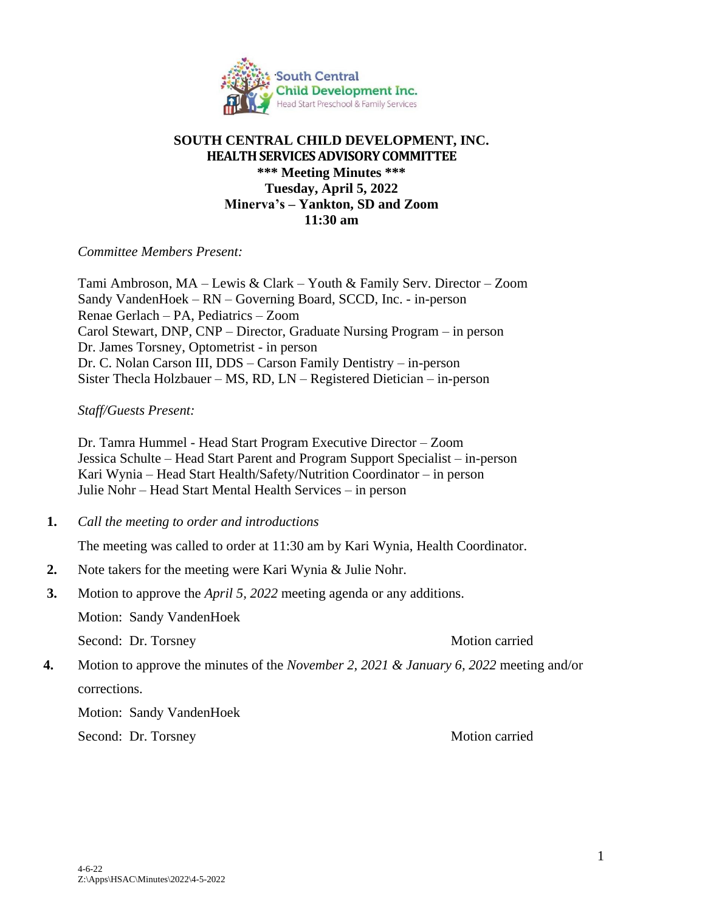

# **SOUTH CENTRAL CHILD DEVELOPMENT, INC. HEALTH SERVICES ADVISORY COMMITTEE \*\*\* Meeting Minutes \*\*\* Tuesday, April 5, 2022 Minerva's – Yankton, SD and Zoom 11:30 am**

### *Committee Members Present:*

Tami Ambroson, MA – Lewis & Clark – Youth & Family Serv. Director – Zoom Sandy VandenHoek – RN – Governing Board, SCCD, Inc. - in-person Renae Gerlach – PA, Pediatrics – Zoom Carol Stewart, DNP, CNP – Director, Graduate Nursing Program – in person Dr. James Torsney, Optometrist - in person Dr. C. Nolan Carson III, DDS – Carson Family Dentistry – in-person Sister Thecla Holzbauer – MS, RD, LN – Registered Dietician – in-person

### *Staff/Guests Present:*

Dr. Tamra Hummel - Head Start Program Executive Director – Zoom Jessica Schulte – Head Start Parent and Program Support Specialist – in-person Kari Wynia – Head Start Health/Safety/Nutrition Coordinator – in person Julie Nohr – Head Start Mental Health Services – in person

 **1.** *Call the meeting to order and introductions*

The meeting was called to order at 11:30 am by Kari Wynia, Health Coordinator.

- **2.** Note takers for the meeting were Kari Wynia & Julie Nohr.
- **3.** Motion to approve the *April 5, 2022* meeting agenda or any additions.

Motion: Sandy VandenHoek

Second: Dr. Torsney Motion carried

 **4.** Motion to approve the minutes of the *November 2, 2021 & January 6, 2022* meeting and/or corrections.

Motion: Sandy VandenHoek

Second: Dr. Torsney Motion carried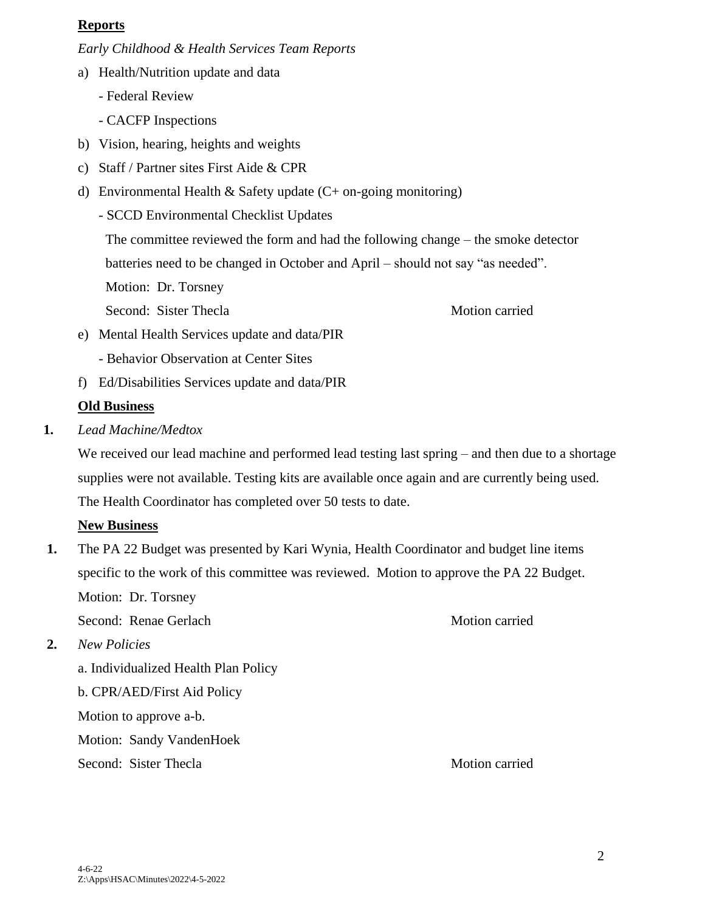## **Reports**

*Early Childhood & Health Services Team Reports*

- a) Health/Nutrition update and data
	- Federal Review
	- CACFP Inspections
- b) Vision, hearing, heights and weights
- c) Staff / Partner sites First Aide & CPR
- d) Environmental Health & Safety update  $(C+$  on-going monitoring)
	- SCCD Environmental Checklist Updates

The committee reviewed the form and had the following change – the smoke detector

batteries need to be changed in October and April – should not say "as needed".

Motion: Dr. Torsney

Second: Sister Thecla Motion carried

- e) Mental Health Services update and data/PIR
	- Behavior Observation at Center Sites
- f) Ed/Disabilities Services update and data/PIR

# **Old Business**

 **1.** *Lead Machine/Medtox* 

We received our lead machine and performed lead testing last spring – and then due to a shortage supplies were not available. Testing kits are available once again and are currently being used. The Health Coordinator has completed over 50 tests to date.

# **New Business**

**1.** The PA 22 Budget was presented by Kari Wynia, Health Coordinator and budget line items specific to the work of this committee was reviewed. Motion to approve the PA 22 Budget. Motion: Dr. Torsney

Second: Renae Gerlach Motion carried

**2.** *New Policies*

a. Individualized Health Plan Policy b. CPR/AED/First Aid Policy Motion to approve a-b. Motion: Sandy VandenHoek Second: Sister Thecla Motion carried